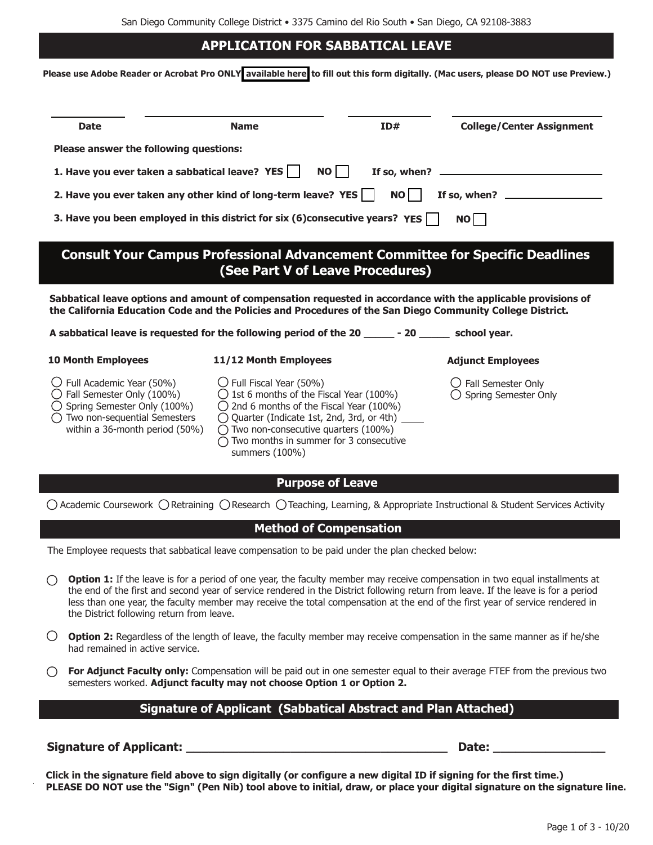## **APPLICATION FOR SABBATICAL LEAVE**

**Please use Adobe Reader or Acrobat Pro ONLY [available here](https://acrobat.adobe.com/us/en/acrobat/pdf-reader.html) to fill out this form digitally. (Mac users, please DO NOT use Preview.)**

| <b>Date</b>                                                                                                                                                                                                                                                                                                                                                                                                                                      | <b>Name</b>                                                                                                                                                                                                                                                                                                                               | ID# | <b>College/Center Assignment</b>                                                                                                                                |  |  |  |
|--------------------------------------------------------------------------------------------------------------------------------------------------------------------------------------------------------------------------------------------------------------------------------------------------------------------------------------------------------------------------------------------------------------------------------------------------|-------------------------------------------------------------------------------------------------------------------------------------------------------------------------------------------------------------------------------------------------------------------------------------------------------------------------------------------|-----|-----------------------------------------------------------------------------------------------------------------------------------------------------------------|--|--|--|
| Please answer the following questions:                                                                                                                                                                                                                                                                                                                                                                                                           |                                                                                                                                                                                                                                                                                                                                           |     |                                                                                                                                                                 |  |  |  |
| 1. Have you ever taken a sabbatical leave? YES    <br>NO I<br>If so, when?                                                                                                                                                                                                                                                                                                                                                                       |                                                                                                                                                                                                                                                                                                                                           |     |                                                                                                                                                                 |  |  |  |
| 2. Have you ever taken any other kind of long-term leave? YES<br>NO  <br>If so, when? _                                                                                                                                                                                                                                                                                                                                                          |                                                                                                                                                                                                                                                                                                                                           |     |                                                                                                                                                                 |  |  |  |
| 3. Have you been employed in this district for six (6) consecutive years? YES<br>NO                                                                                                                                                                                                                                                                                                                                                              |                                                                                                                                                                                                                                                                                                                                           |     |                                                                                                                                                                 |  |  |  |
| <b>Consult Your Campus Professional Advancement Committee for Specific Deadlines</b><br>(See Part V of Leave Procedures)                                                                                                                                                                                                                                                                                                                         |                                                                                                                                                                                                                                                                                                                                           |     |                                                                                                                                                                 |  |  |  |
| Sabbatical leave options and amount of compensation requested in accordance with the applicable provisions of<br>the California Education Code and the Policies and Procedures of the San Diego Community College District.                                                                                                                                                                                                                      |                                                                                                                                                                                                                                                                                                                                           |     |                                                                                                                                                                 |  |  |  |
| A sabbatical leave is requested for the following period of the 20 _______ - 20 _______ school year.                                                                                                                                                                                                                                                                                                                                             |                                                                                                                                                                                                                                                                                                                                           |     |                                                                                                                                                                 |  |  |  |
| <b>10 Month Employees</b>                                                                                                                                                                                                                                                                                                                                                                                                                        | 11/12 Month Employees                                                                                                                                                                                                                                                                                                                     |     | <b>Adjunct Employees</b>                                                                                                                                        |  |  |  |
| $\bigcirc$ Full Academic Year (50%)<br>$\bigcirc$ Fall Semester Only (100%)<br>$\bigcirc$ Spring Semester Only (100%)<br>$\bigcirc$ Two non-sequential Semesters<br>within a 36-month period (50%)                                                                                                                                                                                                                                               | $\bigcirc$ Full Fiscal Year (50%)<br>$\bigcirc$ 1st 6 months of the Fiscal Year (100%)<br>$\bigcirc$ 2nd 6 months of the Fiscal Year (100%)<br>$\bigcirc$ Quarter (Indicate 1st, 2nd, 3rd, or 4th) $\overline{\phantom{a}}$<br>$\bigcirc$ Two non-consecutive quarters (100%)<br>Two months in summer for 3 consecutive<br>summers (100%) |     | $\cup$ Fall Semester Only<br>$\bigcirc$ Spring Semester Only                                                                                                    |  |  |  |
|                                                                                                                                                                                                                                                                                                                                                                                                                                                  | <b>Purpose of Leave</b>                                                                                                                                                                                                                                                                                                                   |     |                                                                                                                                                                 |  |  |  |
|                                                                                                                                                                                                                                                                                                                                                                                                                                                  |                                                                                                                                                                                                                                                                                                                                           |     | $\bigcirc$ Academic Coursework $\bigcirc$ Retraining $\bigcirc$ Research $\bigcirc$ Teaching, Learning, & Appropriate Instructional & Student Services Activity |  |  |  |
| <b>Method of Compensation</b>                                                                                                                                                                                                                                                                                                                                                                                                                    |                                                                                                                                                                                                                                                                                                                                           |     |                                                                                                                                                                 |  |  |  |
| The Employee requests that sabbatical leave compensation to be paid under the plan checked below:                                                                                                                                                                                                                                                                                                                                                |                                                                                                                                                                                                                                                                                                                                           |     |                                                                                                                                                                 |  |  |  |
| Option 1: If the leave is for a period of one year, the faculty member may receive compensation in two equal installments at<br>the end of the first and second year of service rendered in the District following return from leave. If the leave is for a period<br>less than one year, the faculty member may receive the total compensation at the end of the first year of service rendered in<br>the District following return from leave. |                                                                                                                                                                                                                                                                                                                                           |     |                                                                                                                                                                 |  |  |  |
| О<br>Option 2: Regardless of the length of leave, the faculty member may receive compensation in the same manner as if he/she<br>had remained in active service.                                                                                                                                                                                                                                                                                 |                                                                                                                                                                                                                                                                                                                                           |     |                                                                                                                                                                 |  |  |  |
| О<br>For Adjunct Faculty only: Compensation will be paid out in one semester equal to their average FTEF from the previous two<br>semesters worked. Adjunct faculty may not choose Option 1 or Option 2.                                                                                                                                                                                                                                         |                                                                                                                                                                                                                                                                                                                                           |     |                                                                                                                                                                 |  |  |  |
| <b>Signature of Applicant (Sabbatical Abstract and Plan Attached)</b>                                                                                                                                                                                                                                                                                                                                                                            |                                                                                                                                                                                                                                                                                                                                           |     |                                                                                                                                                                 |  |  |  |
|                                                                                                                                                                                                                                                                                                                                                                                                                                                  |                                                                                                                                                                                                                                                                                                                                           |     |                                                                                                                                                                 |  |  |  |
|                                                                                                                                                                                                                                                                                                                                                                                                                                                  |                                                                                                                                                                                                                                                                                                                                           |     |                                                                                                                                                                 |  |  |  |

**Click in the signature field above to sign digitally (or configure a new digital ID if signing for the first time.) PLEASE DO NOT use the "Sign" (Pen Nib) tool above to initial, draw, or place your digital signature on the signature line.**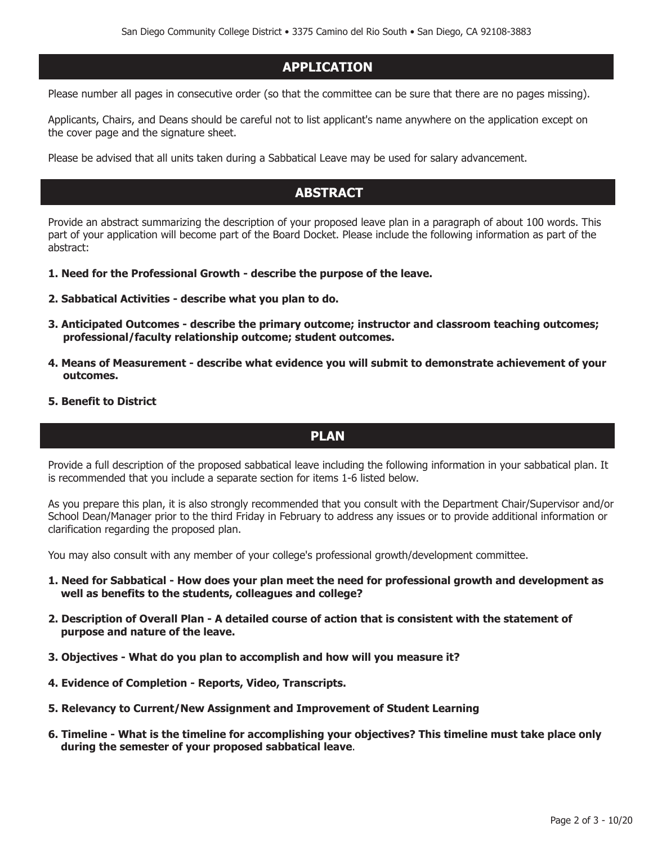## **APPLICATION**

Please number all pages in consecutive order (so that the committee can be sure that there are no pages missing).

Applicants, Chairs, and Deans should be careful not to list applicant's name anywhere on the application except on the cover page and the signature sheet.

Please be advised that all units taken during a Sabbatical Leave may be used for salary advancement.

## **ABSTRACT**

Provide an abstract summarizing the description of your proposed leave plan in a paragraph of about 100 words. This part of your application will become part of the Board Docket. Please include the following information as part of the abstract:

- **1. Need for the Professional Growth describe the purpose of the leave.**
- **2. Sabbatical Activities describe what you plan to do.**
- **3. Anticipated Outcomes describe the primary outcome; instructor and classroom teaching outcomes; professional/faculty relationship outcome; student outcomes.**
- **4. Means of Measurement describe what evidence you will submit to demonstrate achievement of your outcomes.**
- **5. Benefit to District**

## **PLAN**

Provide a full description of the proposed sabbatical leave including the following information in your sabbatical plan. It is recommended that you include a separate section for items 1-6 listed below.

As you prepare this plan, it is also strongly recommended that you consult with the Department Chair/Supervisor and/or School Dean/Manager prior to the third Friday in February to address any issues or to provide additional information or clarification regarding the proposed plan.

You may also consult with any member of your college's professional growth/development committee.

- **1. Need for Sabbatical How does your plan meet the need for professional growth and development as well as benefits to the students, colleagues and college?**
- **2. Description of Overall Plan A detailed course of action that is consistent with the statement of purpose and nature of the leave.**
- **3. Objectives What do you plan to accomplish and how will you measure it?**
- **4. Evidence of Completion Reports, Video, Transcripts.**
- **5. Relevancy to Current/New Assignment and Improvement of Student Learning**
- **6. Timeline What is the timeline for accomplishing your objectives? This timeline must take place only during the semester of your proposed sabbatical leave**.